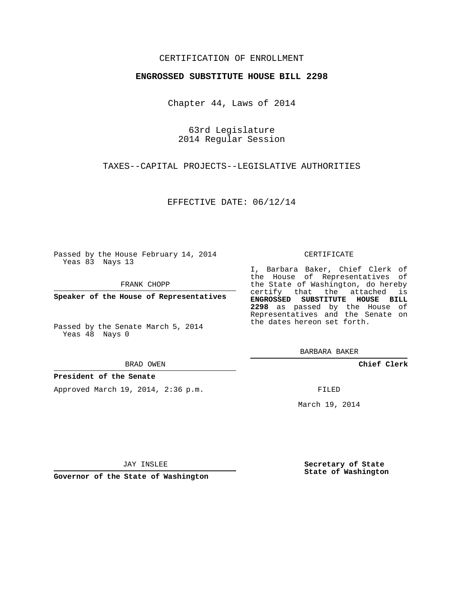### CERTIFICATION OF ENROLLMENT

#### **ENGROSSED SUBSTITUTE HOUSE BILL 2298**

Chapter 44, Laws of 2014

63rd Legislature 2014 Regular Session

TAXES--CAPITAL PROJECTS--LEGISLATIVE AUTHORITIES

EFFECTIVE DATE: 06/12/14

Passed by the House February 14, 2014 Yeas 83 Nays 13

FRANK CHOPP

**Speaker of the House of Representatives**

Passed by the Senate March 5, 2014 Yeas 48 Nays 0

BRAD OWEN

#### **President of the Senate**

Approved March 19, 2014, 2:36 p.m.

CERTIFICATE

I, Barbara Baker, Chief Clerk of the House of Representatives of the State of Washington, do hereby certify that the attached is **ENGROSSED SUBSTITUTE HOUSE BILL 2298** as passed by the House of Representatives and the Senate on the dates hereon set forth.

BARBARA BAKER

**Chief Clerk**

FILED

March 19, 2014

JAY INSLEE

**Governor of the State of Washington**

**Secretary of State State of Washington**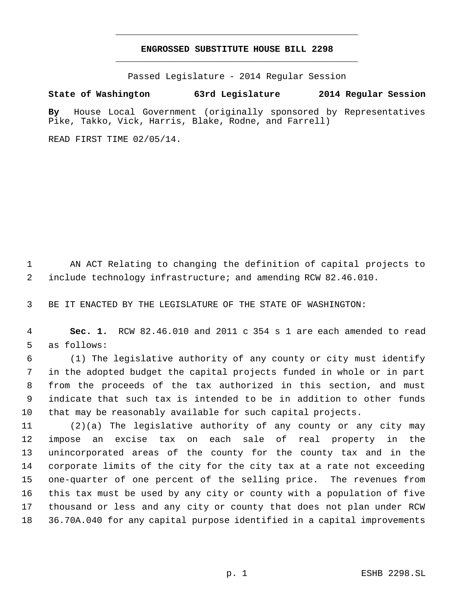# **ENGROSSED SUBSTITUTE HOUSE BILL 2298** \_\_\_\_\_\_\_\_\_\_\_\_\_\_\_\_\_\_\_\_\_\_\_\_\_\_\_\_\_\_\_\_\_\_\_\_\_\_\_\_\_\_\_\_\_

\_\_\_\_\_\_\_\_\_\_\_\_\_\_\_\_\_\_\_\_\_\_\_\_\_\_\_\_\_\_\_\_\_\_\_\_\_\_\_\_\_\_\_\_\_

Passed Legislature - 2014 Regular Session

## **State of Washington 63rd Legislature 2014 Regular Session**

**By** House Local Government (originally sponsored by Representatives Pike, Takko, Vick, Harris, Blake, Rodne, and Farrell)

READ FIRST TIME 02/05/14.

 AN ACT Relating to changing the definition of capital projects to include technology infrastructure; and amending RCW 82.46.010.

BE IT ENACTED BY THE LEGISLATURE OF THE STATE OF WASHINGTON:

 **Sec. 1.** RCW 82.46.010 and 2011 c 354 s 1 are each amended to read as follows:

 (1) The legislative authority of any county or city must identify in the adopted budget the capital projects funded in whole or in part from the proceeds of the tax authorized in this section, and must indicate that such tax is intended to be in addition to other funds that may be reasonably available for such capital projects.

 (2)(a) The legislative authority of any county or any city may impose an excise tax on each sale of real property in the unincorporated areas of the county for the county tax and in the corporate limits of the city for the city tax at a rate not exceeding one-quarter of one percent of the selling price. The revenues from this tax must be used by any city or county with a population of five thousand or less and any city or county that does not plan under RCW 36.70A.040 for any capital purpose identified in a capital improvements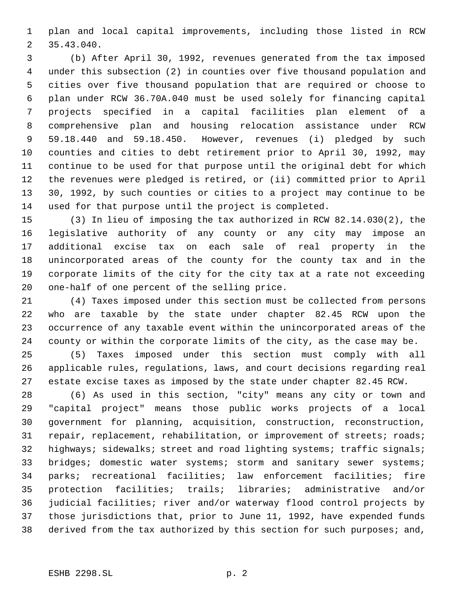plan and local capital improvements, including those listed in RCW 35.43.040.

 (b) After April 30, 1992, revenues generated from the tax imposed under this subsection (2) in counties over five thousand population and cities over five thousand population that are required or choose to plan under RCW 36.70A.040 must be used solely for financing capital projects specified in a capital facilities plan element of a comprehensive plan and housing relocation assistance under RCW 59.18.440 and 59.18.450. However, revenues (i) pledged by such counties and cities to debt retirement prior to April 30, 1992, may continue to be used for that purpose until the original debt for which the revenues were pledged is retired, or (ii) committed prior to April 30, 1992, by such counties or cities to a project may continue to be used for that purpose until the project is completed.

 (3) In lieu of imposing the tax authorized in RCW 82.14.030(2), the legislative authority of any county or any city may impose an additional excise tax on each sale of real property in the unincorporated areas of the county for the county tax and in the corporate limits of the city for the city tax at a rate not exceeding one-half of one percent of the selling price.

 (4) Taxes imposed under this section must be collected from persons who are taxable by the state under chapter 82.45 RCW upon the occurrence of any taxable event within the unincorporated areas of the county or within the corporate limits of the city, as the case may be.

 (5) Taxes imposed under this section must comply with all applicable rules, regulations, laws, and court decisions regarding real estate excise taxes as imposed by the state under chapter 82.45 RCW.

 (6) As used in this section, "city" means any city or town and "capital project" means those public works projects of a local government for planning, acquisition, construction, reconstruction, 31 repair, replacement, rehabilitation, or improvement of streets; roads; 32 highways; sidewalks; street and road lighting systems; traffic signals; 33 bridges; domestic water systems; storm and sanitary sewer systems; parks; recreational facilities; law enforcement facilities; fire protection facilities; trails; libraries; administrative and/or judicial facilities; river and/or waterway flood control projects by those jurisdictions that, prior to June 11, 1992, have expended funds derived from the tax authorized by this section for such purposes; and,